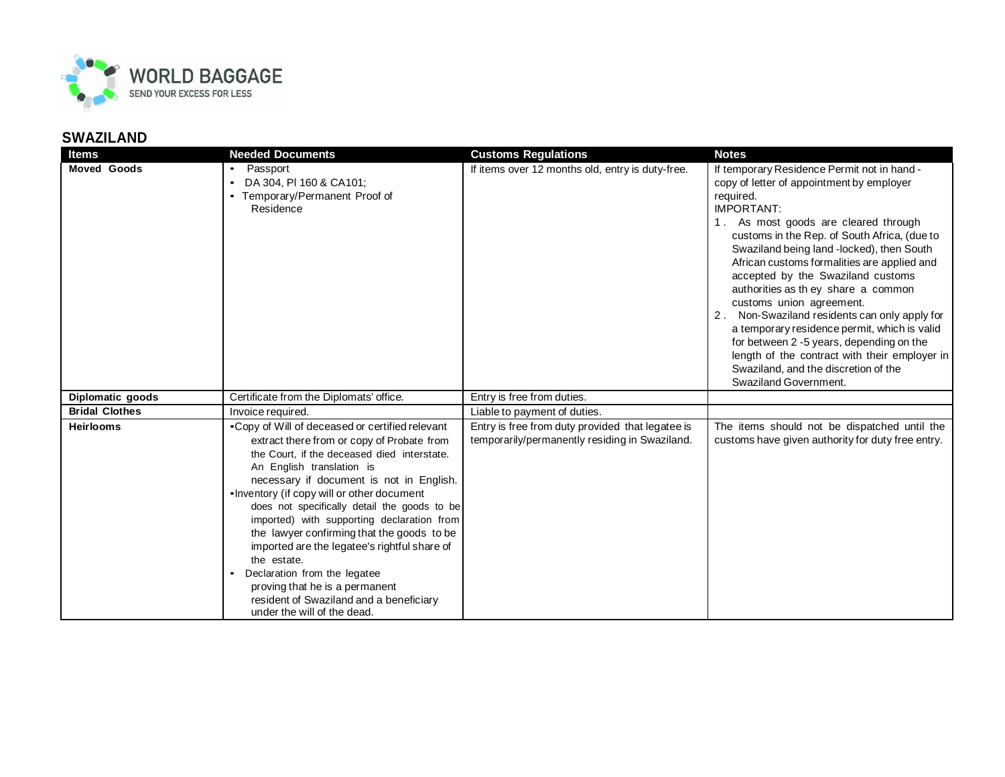

## **SWAZILAND**

| <b>Items</b>          | <b>Needed Documents</b>                                                                                                                                                                                                                                                                                                                                                                                                                                                                                                                                                                                                     | <b>Customs Regulations</b>                                                                         | <b>Notes</b>                                                                                                                                                                                                                                                                                                                                                                                                                                                                                                                                                                                                                                                                         |
|-----------------------|-----------------------------------------------------------------------------------------------------------------------------------------------------------------------------------------------------------------------------------------------------------------------------------------------------------------------------------------------------------------------------------------------------------------------------------------------------------------------------------------------------------------------------------------------------------------------------------------------------------------------------|----------------------------------------------------------------------------------------------------|--------------------------------------------------------------------------------------------------------------------------------------------------------------------------------------------------------------------------------------------------------------------------------------------------------------------------------------------------------------------------------------------------------------------------------------------------------------------------------------------------------------------------------------------------------------------------------------------------------------------------------------------------------------------------------------|
| <b>Moved Goods</b>    | Passport<br>DA 304, PI 160 & CA101;<br>Temporary/Permanent Proof of<br>Residence                                                                                                                                                                                                                                                                                                                                                                                                                                                                                                                                            | If items over 12 months old, entry is duty-free.                                                   | If temporary Residence Permit not in hand -<br>copy of letter of appointment by employer<br>required.<br><b>IMPORTANT:</b><br>1. As most goods are cleared through<br>customs in the Rep. of South Africa, (due to<br>Swaziland being land -locked), then South<br>African customs formalities are applied and<br>accepted by the Swaziland customs<br>authorities as they share a common<br>customs union agreement.<br>2. Non-Swaziland residents can only apply for<br>a temporary residence permit, which is valid<br>for between 2 -5 years, depending on the<br>length of the contract with their employer in<br>Swaziland, and the discretion of the<br>Swaziland Government. |
| Diplomatic goods      | Certificate from the Diplomats' office.                                                                                                                                                                                                                                                                                                                                                                                                                                                                                                                                                                                     | Entry is free from duties.                                                                         |                                                                                                                                                                                                                                                                                                                                                                                                                                                                                                                                                                                                                                                                                      |
| <b>Bridal Clothes</b> | Invoice required.                                                                                                                                                                                                                                                                                                                                                                                                                                                                                                                                                                                                           | Liable to payment of duties.                                                                       |                                                                                                                                                                                                                                                                                                                                                                                                                                                                                                                                                                                                                                                                                      |
| <b>Heirlooms</b>      | • Copy of Will of deceased or certified relevant<br>extract there from or copy of Probate from<br>the Court, if the deceased died interstate.<br>An English translation is<br>necessary if document is not in English.<br>•Inventory (if copy will or other document<br>does not specifically detail the goods to be<br>imported) with supporting declaration from<br>the lawyer confirming that the goods to be<br>imported are the legatee's rightful share of<br>the estate.<br>Declaration from the legatee<br>proving that he is a permanent<br>resident of Swaziland and a beneficiary<br>under the will of the dead. | Entry is free from duty provided that legatee is<br>temporarily/permanently residing in Swaziland. | The items should not be dispatched until the<br>customs have given authority for duty free entry.                                                                                                                                                                                                                                                                                                                                                                                                                                                                                                                                                                                    |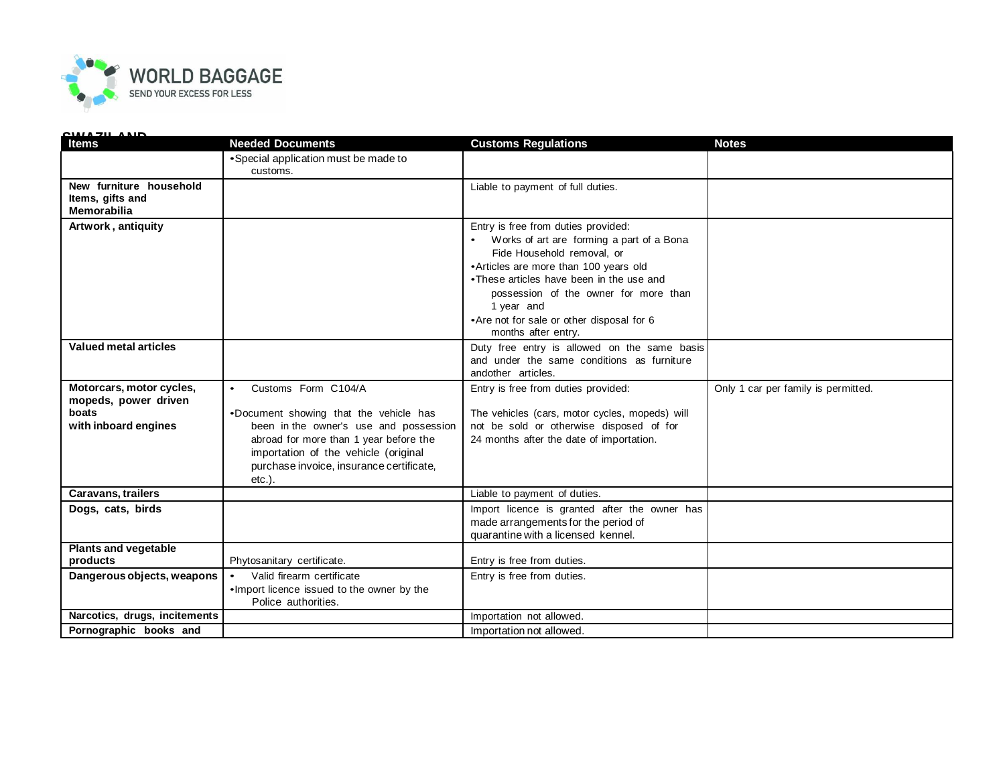

| <u>AIILL IND</u><br>Items                                                         | <b>Needed Documents</b>                                                                                                                                                                                                                            | <b>Customs Regulations</b>                                                                                                                                                                                                                                                                                                      | <b>Notes</b>                        |
|-----------------------------------------------------------------------------------|----------------------------------------------------------------------------------------------------------------------------------------------------------------------------------------------------------------------------------------------------|---------------------------------------------------------------------------------------------------------------------------------------------------------------------------------------------------------------------------------------------------------------------------------------------------------------------------------|-------------------------------------|
|                                                                                   | • Special application must be made to<br>customs.                                                                                                                                                                                                  |                                                                                                                                                                                                                                                                                                                                 |                                     |
| New furniture household<br>Items, gifts and<br><b>Memorabilia</b>                 |                                                                                                                                                                                                                                                    | Liable to payment of full duties.                                                                                                                                                                                                                                                                                               |                                     |
| Artwork, antiquity                                                                |                                                                                                                                                                                                                                                    | Entry is free from duties provided:<br>Works of art are forming a part of a Bona<br>Fide Household removal, or<br>•Articles are more than 100 years old<br>•These articles have been in the use and<br>possession of the owner for more than<br>1 year and<br>• Are not for sale or other disposal for 6<br>months after entry. |                                     |
| <b>Valued metal articles</b>                                                      |                                                                                                                                                                                                                                                    | Duty free entry is allowed on the same basis<br>and under the same conditions as furniture<br>andother articles.                                                                                                                                                                                                                |                                     |
| Motorcars, motor cycles,<br>mopeds, power driven<br>boats<br>with inboard engines | Customs Form C104/A<br>.Document showing that the vehicle has<br>been in the owner's use and possession<br>abroad for more than 1 year before the<br>importation of the vehicle (original<br>purchase invoice, insurance certificate,<br>$etc.$ ). | Entry is free from duties provided:<br>The vehicles (cars, motor cycles, mopeds) will<br>not be sold or otherwise disposed of for<br>24 months after the date of importation.                                                                                                                                                   | Only 1 car per family is permitted. |
| <b>Caravans, trailers</b>                                                         |                                                                                                                                                                                                                                                    | Liable to payment of duties.                                                                                                                                                                                                                                                                                                    |                                     |
| Dogs, cats, birds                                                                 |                                                                                                                                                                                                                                                    | Import licence is granted after the owner has<br>made arrangements for the period of<br>quarantine with a licensed kennel.                                                                                                                                                                                                      |                                     |
| <b>Plants and vegetable</b><br>products                                           | Phytosanitary certificate.                                                                                                                                                                                                                         | Entry is free from duties.                                                                                                                                                                                                                                                                                                      |                                     |
| Dangerous objects, weapons                                                        | Valid firearm certificate<br>. Import licence issued to the owner by the<br>Police authorities.                                                                                                                                                    | Entry is free from duties.                                                                                                                                                                                                                                                                                                      |                                     |
| Narcotics, drugs, incitements                                                     |                                                                                                                                                                                                                                                    | Importation not allowed.                                                                                                                                                                                                                                                                                                        |                                     |
| Pornographic books and                                                            |                                                                                                                                                                                                                                                    | Importation not allowed.                                                                                                                                                                                                                                                                                                        |                                     |